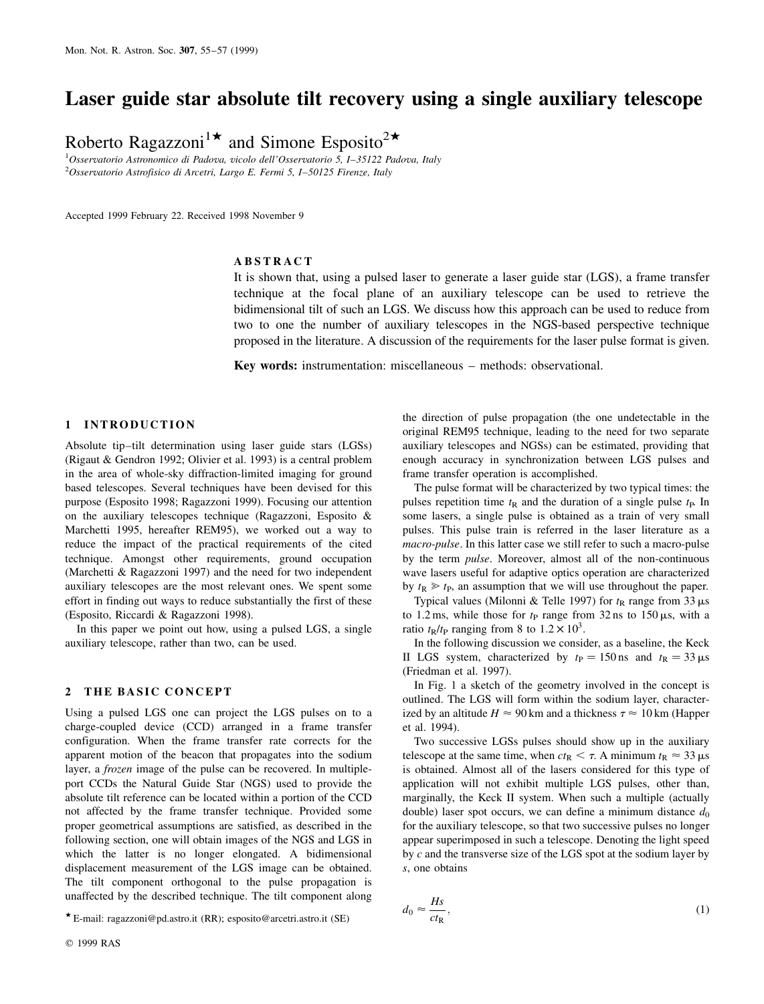# Laser guide star absolute tilt recovery using a single auxiliary telescope

Roberto Ragazzoni<sup>1\*</sup> and Simone Esposito<sup>2\*</sup>

 $1$ Osservatorio Astronomico di Padova, vicolo dell'Osservatorio 5, I-35122 Padova, Italy  $2O$ sservatorio Astrofisico di Arcetri, Largo E. Fermi 5, I-50125 Firenze, Italy

Accepted 1999 February 22. Received 1998 November 9

### ABSTRACT

It is shown that, using a pulsed laser to generate a laser guide star (LGS), a frame transfer technique at the focal plane of an auxiliary telescope can be used to retrieve the bidimensional tilt of such an LGS. We discuss how this approach can be used to reduce from two to one the number of auxiliary telescopes in the NGS-based perspective technique proposed in the literature. A discussion of the requirements for the laser pulse format is given.

Key words: instrumentation: miscellaneous - methods: observational.

#### 1 INTRODUCTION

Absolute tip-tilt determination using laser guide stars (LGSs) (Rigaut & Gendron 1992; Olivier et al. 1993) is a central problem in the area of whole-sky diffraction-limited imaging for ground based telescopes. Several techniques have been devised for this purpose (Esposito 1998; Ragazzoni 1999). Focusing our attention on the auxiliary telescopes technique (Ragazzoni, Esposito & Marchetti 1995, hereafter REM95), we worked out a way to reduce the impact of the practical requirements of the cited technique. Amongst other requirements, ground occupation (Marchetti & Ragazzoni 1997) and the need for two independent auxiliary telescopes are the most relevant ones. We spent some effort in finding out ways to reduce substantially the first of these (Esposito, Riccardi & Ragazzoni 1998).

In this paper we point out how, using a pulsed LGS, a single auxiliary telescope, rather than two, can be used.

#### 2 THE BASIC CONCEPT

Using a pulsed LGS one can project the LGS pulses on to a charge-coupled device (CCD) arranged in a frame transfer configuration. When the frame transfer rate corrects for the apparent motion of the beacon that propagates into the sodium layer, a frozen image of the pulse can be recovered. In multipleport CCDs the Natural Guide Star (NGS) used to provide the absolute tilt reference can be located within a portion of the CCD not affected by the frame transfer technique. Provided some proper geometrical assumptions are satisfied, as described in the following section, one will obtain images of the NGS and LGS in which the latter is no longer elongated. A bidimensional displacement measurement of the LGS image can be obtained. The tilt component orthogonal to the pulse propagation is unaffected by the described technique. The tilt component along

the direction of pulse propagation (the one undetectable in the original REM95 technique, leading to the need for two separate auxiliary telescopes and NGSs) can be estimated, providing that enough accuracy in synchronization between LGS pulses and frame transfer operation is accomplished.

The pulse format will be characterized by two typical times: the pulses repetition time  $t<sub>R</sub>$  and the duration of a single pulse  $t<sub>P</sub>$ . In some lasers, a single pulse is obtained as a train of very small pulses. This pulse train is referred in the laser literature as a macro-pulse. In this latter case we still refer to such a macro-pulse by the term pulse. Moreover, almost all of the non-continuous wave lasers useful for adaptive optics operation are characterized by  $t_R \geq t_P$ , an assumption that we will use throughout the paper.

Typical values (Milonni & Telle 1997) for  $t_R$  range from 33  $\mu$ s to 1.2 ms, while those for  $t<sub>P</sub>$  range from 32 ns to 150  $\mu$ s, with a ratio  $t_R/t_P$  ranging from 8 to  $1.2 \times 10^3$ .

In the following discussion we consider, as a baseline, the Keck II LGS system, characterized by  $t_P = 150$  ns and  $t_R = 33 \mu s$ (Friedman et al. 1997).

In Fig. 1 a sketch of the geometry involved in the concept is outlined. The LGS will form within the sodium layer, characterized by an altitude  $H \approx 90$  km and a thickness  $\tau \approx 10$  km (Happer et al. 1994).

Two successive LGSs pulses should show up in the auxiliary telescope at the same time, when  $ct_R < \tau$ . A minimum  $t_R \approx 33 \,\mu s$ is obtained. Almost all of the lasers considered for this type of application will not exhibit multiple LGS pulses, other than, marginally, the Keck II system. When such a multiple (actually double) laser spot occurs, we can define a minimum distance  $d_0$ for the auxiliary telescope, so that two successive pulses no longer appear superimposed in such a telescope. Denoting the light speed by c and the transverse size of the LGS spot at the sodium layer by s, one obtains

$$
d_0 \approx \frac{Hs}{ct_R},\tag{1}
$$

w E-mail: ragazzoni@pd.astro.it (RR); esposito@arcetri.astro.it (SE)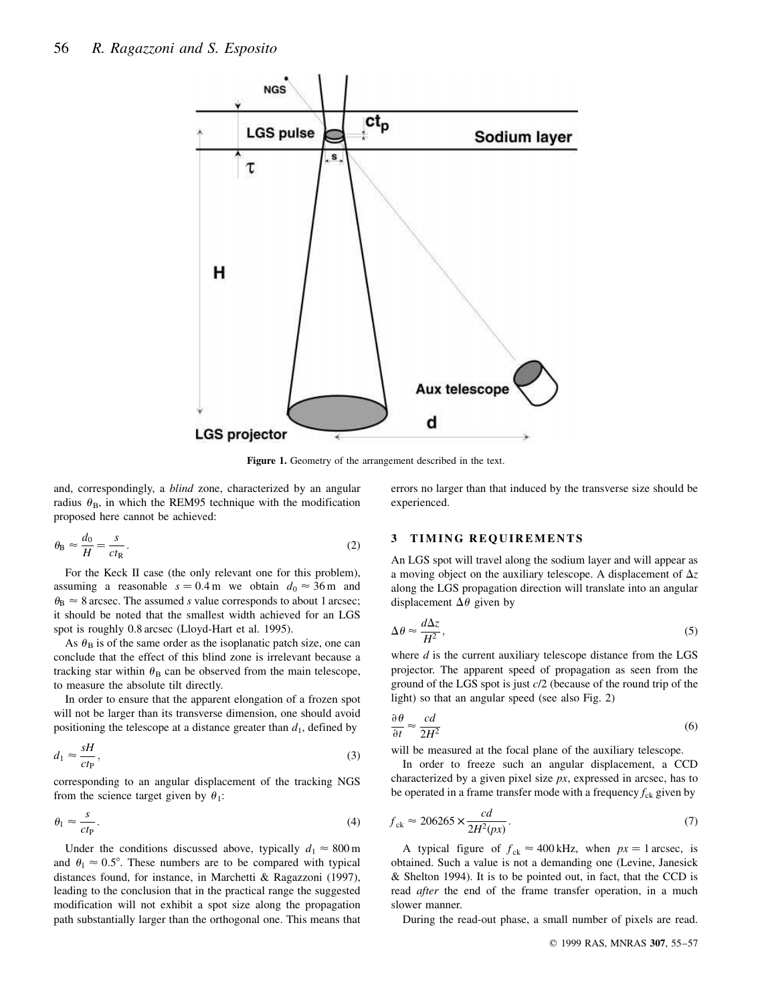

Figure 1. Geometry of the arrangement described in the text.

and, correspondingly, a blind zone, characterized by an angular radius  $\theta_B$ , in which the REM95 technique with the modification proposed here cannot be achieved:

$$
\theta_{\rm B} \approx \frac{d_0}{H} = \frac{s}{ct_{\rm R}}.\tag{2}
$$

For the Keck II case (the only relevant one for this problem), assuming a reasonable  $s = 0.4$  m we obtain  $d_0 \approx 36$  m and  $\theta_B \approx 8$  arcsec. The assumed *s* value corresponds to about 1 arcsec; it should be noted that the smallest width achieved for an LGS spot is roughly 0.8 arcsec (Lloyd-Hart et al. 1995).

As  $\theta_B$  is of the same order as the isoplanatic patch size, one can conclude that the effect of this blind zone is irrelevant because a tracking star within  $\theta_B$  can be observed from the main telescope, to measure the absolute tilt directly.

In order to ensure that the apparent elongation of a frozen spot will not be larger than its transverse dimension, one should avoid positioning the telescope at a distance greater than  $d_1$ , defined by

$$
d_1 \approx \frac{sH}{ctP},\tag{3}
$$

corresponding to an angular displacement of the tracking NGS from the science target given by  $\theta_1$ :

$$
\theta_1 \approx \frac{s}{ct_P}.\tag{4}
$$

Under the conditions discussed above, typically  $d_1 \approx 800 \,\text{m}$ and  $\theta_1 \approx 0.5^\circ$ . These numbers are to be compared with typical distances found, for instance, in Marchetti & Ragazzoni (1997), leading to the conclusion that in the practical range the suggested modification will not exhibit a spot size along the propagation path substantially larger than the orthogonal one. This means that

errors no larger than that induced by the transverse size should be experienced.

### 3 TIMING REQUIREMENTS

An LGS spot will travel along the sodium layer and will appear as a moving object on the auxiliary telescope. A displacement of  $\Delta z$ along the LGS propagation direction will translate into an angular displacement  $\Delta\theta$  given by

$$
\Delta \theta \approx \frac{d\Delta z}{H^2},\tag{5}
$$

where  $d$  is the current auxiliary telescope distance from the LGS projector. The apparent speed of propagation as seen from the ground of the LGS spot is just c/2 (because of the round trip of the light) so that an angular speed (see also Fig. 2)

$$
\frac{\partial \theta}{\partial t} \approx \frac{cd}{2H^2} \tag{6}
$$

will be measured at the focal plane of the auxiliary telescope.

In order to freeze such an angular displacement, a CCD characterized by a given pixel size  $px$ , expressed in arcsec, has to be operated in a frame transfer mode with a frequency  $f_{ck}$  given by

$$
f_{\rm ck} \approx 206265 \times \frac{cd}{2H^2(px)}.\tag{7}
$$

A typical figure of  $f_{ck} \approx 400 \text{ kHz}$ , when  $px = 1 \text{ arcsec}$ , is obtained. Such a value is not a demanding one (Levine, Janesick & Shelton 1994). It is to be pointed out, in fact, that the CCD is read *after* the end of the frame transfer operation, in a much slower manner.

During the read-out phase, a small number of pixels are read.